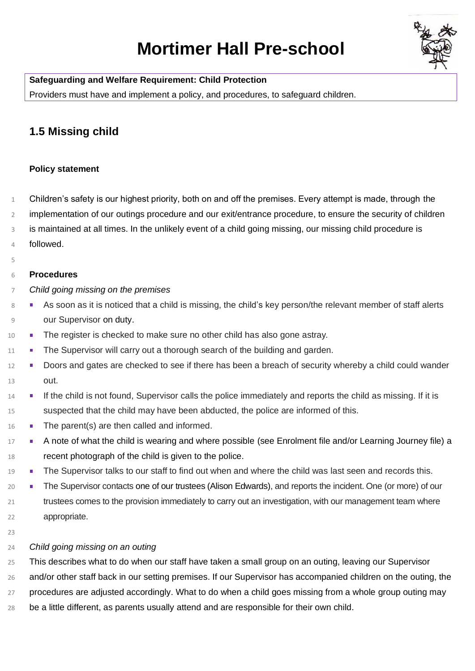# **Mortimer Hall Pre-school**



**Safeguarding and Welfare Requirement: Child Protection**

Providers must have and implement a policy, and procedures, to safeguard children.

## **1.5 Missing child**

#### **Policy statement**

- Children's safety is our highest priority, both on and off the premises. Every attempt is made, through the
- implementation of our outings procedure and our exit/entrance procedure, to ensure the security of children
- is maintained at all times. In the unlikely event of a child going missing, our missing child procedure is
- followed.
- 

#### **Procedures**

*Child going missing on the premises*

- 8 As soon as it is noticed that a child is missing, the child's key person/the relevant member of staff alerts our Supervisor on duty.
- **The register is checked to make sure no other child has also gone astray.**
- <sup>11</sup> The Supervisor will carry out a thorough search of the building and garden.
- 12 Doors and gates are checked to see if there has been a breach of security whereby a child could wander out.
- **If the child is not found, Supervisor calls the police immediately and reports the child as missing. If it is** suspected that the child may have been abducted, the police are informed of this.
- 16 The parent(s) are then called and informed.
- 17 A note of what the child is wearing and where possible (see Enrolment file and/or Learning Journey file) a recent photograph of the child is given to the police.
- 19 The Supervisor talks to our staff to find out when and where the child was last seen and records this.
- **The Supervisor contacts one of our trustees (Alison Edwards), and reports the incident. One (or more) of our**  trustees comes to the provision immediately to carry out an investigation, with our management team where appropriate.
- 

### *Child going missing on an outing*

This describes what to do when our staff have taken a small group on an outing, leaving our Supervisor

26 and/or other staff back in our setting premises. If our Supervisor has accompanied children on the outing, the

procedures are adjusted accordingly. What to do when a child goes missing from a whole group outing may

be a little different, as parents usually attend and are responsible for their own child.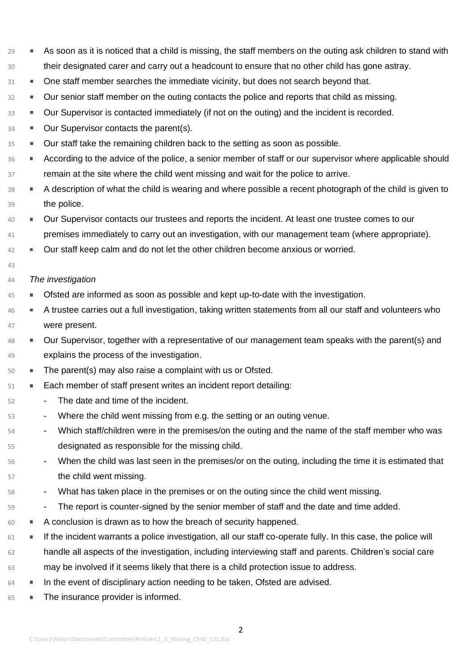- <sup>29</sup> As soon as it is noticed that a child is missing, the staff members on the outing ask children to stand with their designated carer and carry out a headcount to ensure that no other child has gone astray.
- <sup>31</sup> One staff member searches the immediate vicinity, but does not search beyond that.
- <sup>32</sup> Our senior staff member on the outing contacts the police and reports that child as missing.
- **Dur Supervisor is contacted immediately (if not on the outing) and the incident is recorded.**
- **Dur Supervisor contacts the parent(s).**
- <sup>35</sup> Uur staff take the remaining children back to the setting as soon as possible.
- 36 According to the advice of the police, a senior member of staff or our supervisor where applicable should remain at the site where the child went missing and wait for the police to arrive.
- <sup>38</sup> A description of what the child is wearing and where possible a recent photograph of the child is given to the police.
- **UP** Our Supervisor contacts our trustees and reports the incident. At least one trustee comes to our premises immediately to carry out an investigation, with our management team (where appropriate).
	-
- **Our staff keep calm and do not let the other children become anxious or worried.**
- 

#### *The investigation*

- Ofsted are informed as soon as possible and kept up-to-date with the investigation.
- 46 A trustee carries out a full investigation, taking written statements from all our staff and volunteers who were present.
- Our Supervisor, together with a representative of our management team speaks with the parent(s) and explains the process of the investigation.
- **The parent(s) may also raise a complaint with us or Ofsted.**
- **Each member of staff present writes an incident report detailing:**
- **-** The date and time of the incident.
- **-** Where the child went missing from e.g. the setting or an outing venue.
- **-** Which staff/children were in the premises/on the outing and the name of the staff member who was designated as responsible for the missing child.
- **-** When the child was last seen in the premises/or on the outing, including the time it is estimated that the child went missing.
- **-** What has taken place in the premises or on the outing since the child went missing.
- **-** The report is counter-signed by the senior member of staff and the date and time added.
- 60 A conclusion is drawn as to how the breach of security happened.
- <sup>61</sup> If the incident warrants a police investigation, all our staff co-operate fully. In this case, the police will handle all aspects of the investigation, including interviewing staff and parents. Children's social care may be involved if it seems likely that there is a child protection issue to address.
- **FALL In the event of disciplinary action needing to be taken, Ofsted are advised.**
- 65 The insurance provider is informed.